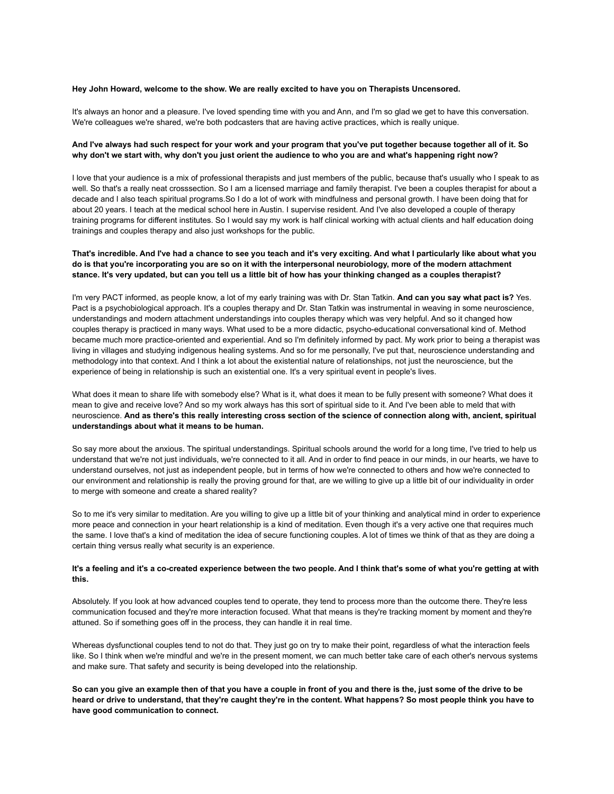#### **Hey John Howard, welcome to the show. We are really excited to have you on Therapists Uncensored.**

It's always an honor and a pleasure. I've loved spending time with you and Ann, and I'm so glad we get to have this conversation. We're colleagues we're shared, we're both podcasters that are having active practices, which is really unique.

#### And I've always had such respect for your work and your program that you've put together because together all of it. So why don't we start with, why don't you just orient the audience to who you are and what's happening right now?

I love that your audience is a mix of professional therapists and just members of the public, because that's usually who I speak to as well. So that's a really neat crosssection. So I am a licensed marriage and family therapist. I've been a couples therapist for about a decade and I also teach spiritual programs.So I do a lot of work with mindfulness and personal growth. I have been doing that for about 20 years. I teach at the medical school here in Austin. I supervise resident. And I've also developed a couple of therapy training programs for different institutes. So I would say my work is half clinical working with actual clients and half education doing trainings and couples therapy and also just workshops for the public.

## That's incredible. And I've had a chance to see you teach and it's very exciting. And what I particularly like about what you do is that you're incorporating you are so on it with the interpersonal neurobiology, more of the modern attachment stance. It's very updated, but can you tell us a little bit of how has your thinking changed as a couples therapist?

I'm very PACT informed, as people know, a lot of my early training was with Dr. Stan Tatkin. **And can you say what pact is?** Yes. Pact is a psychobiological approach. It's a couples therapy and Dr. Stan Tatkin was instrumental in weaving in some neuroscience, understandings and modern attachment understandings into couples therapy which was very helpful. And so it changed how couples therapy is practiced in many ways. What used to be a more didactic, psycho-educational conversational kind of. Method became much more practice-oriented and experiential. And so I'm definitely informed by pact. My work prior to being a therapist was living in villages and studying indigenous healing systems. And so for me personally, I've put that, neuroscience understanding and methodology into that context. And I think a lot about the existential nature of relationships, not just the neuroscience, but the experience of being in relationship is such an existential one. It's a very spiritual event in people's lives.

What does it mean to share life with somebody else? What is it, what does it mean to be fully present with someone? What does it mean to give and receive love? And so my work always has this sort of spiritual side to it. And I've been able to meld that with neuroscience. And as there's this really interesting cross section of the science of connection along with, ancient, spiritual **understandings about what it means to be human.**

So say more about the anxious. The spiritual understandings. Spiritual schools around the world for a long time, I've tried to help us understand that we're not just individuals, we're connected to it all. And in order to find peace in our minds, in our hearts, we have to understand ourselves, not just as independent people, but in terms of how we're connected to others and how we're connected to our environment and relationship is really the proving ground for that, are we willing to give up a little bit of our individuality in order to merge with someone and create a shared reality?

So to me it's very similar to meditation. Are you willing to give up a little bit of your thinking and analytical mind in order to experience more peace and connection in your heart relationship is a kind of meditation. Even though it's a very active one that requires much the same. I love that's a kind of meditation the idea of secure functioning couples. A lot of times we think of that as they are doing a certain thing versus really what security is an experience.

#### It's a feeling and it's a co-created experience between the two people. And I think that's some of what you're getting at with **this.**

Absolutely. If you look at how advanced couples tend to operate, they tend to process more than the outcome there. They're less communication focused and they're more interaction focused. What that means is they're tracking moment by moment and they're attuned. So if something goes off in the process, they can handle it in real time.

Whereas dysfunctional couples tend to not do that. They just go on try to make their point, regardless of what the interaction feels like. So I think when we're mindful and we're in the present moment, we can much better take care of each other's nervous systems and make sure. That safety and security is being developed into the relationship.

So can you give an example then of that you have a couple in front of you and there is the, just some of the drive to be heard or drive to understand, that they're caught they're in the content. What happens? So most people think you have to **have good communication to connect.**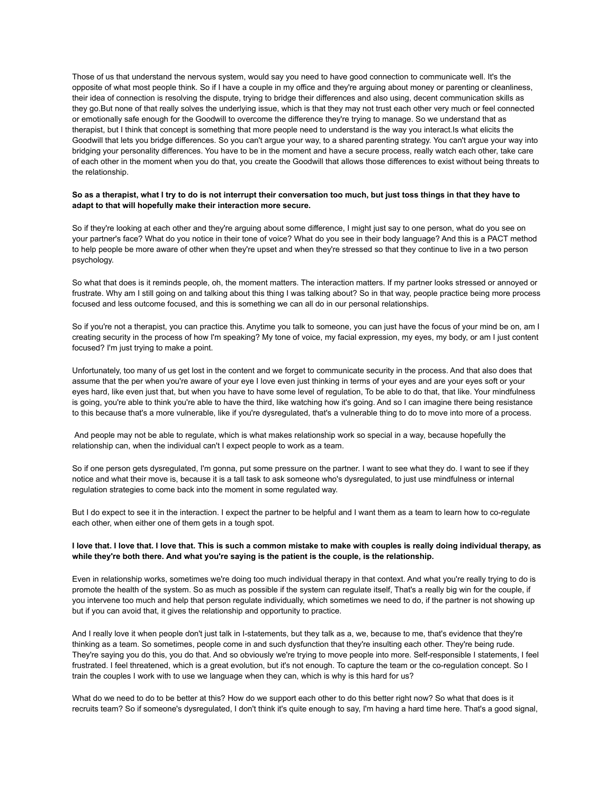Those of us that understand the nervous system, would say you need to have good connection to communicate well. It's the opposite of what most people think. So if I have a couple in my office and they're arguing about money or parenting or cleanliness, their idea of connection is resolving the dispute, trying to bridge their differences and also using, decent communication skills as they go.But none of that really solves the underlying issue, which is that they may not trust each other very much or feel connected or emotionally safe enough for the Goodwill to overcome the difference they're trying to manage. So we understand that as therapist, but I think that concept is something that more people need to understand is the way you interact.Is what elicits the Goodwill that lets you bridge differences. So you can't argue your way, to a shared parenting strategy. You can't argue your way into bridging your personality differences. You have to be in the moment and have a secure process, really watch each other, take care of each other in the moment when you do that, you create the Goodwill that allows those differences to exist without being threats to the relationship.

#### So as a therapist, what I try to do is not interrupt their conversation too much, but just toss things in that they have to **adapt to that will hopefully make their interaction more secure.**

So if they're looking at each other and they're arguing about some difference, I might just say to one person, what do you see on your partner's face? What do you notice in their tone of voice? What do you see in their body language? And this is a PACT method to help people be more aware of other when they're upset and when they're stressed so that they continue to live in a two person psychology.

So what that does is it reminds people, oh, the moment matters. The interaction matters. If my partner looks stressed or annoyed or frustrate. Why am I still going on and talking about this thing I was talking about? So in that way, people practice being more process focused and less outcome focused, and this is something we can all do in our personal relationships.

So if you're not a therapist, you can practice this. Anytime you talk to someone, you can just have the focus of your mind be on, am I creating security in the process of how I'm speaking? My tone of voice, my facial expression, my eyes, my body, or am I just content focused? I'm just trying to make a point.

Unfortunately, too many of us get lost in the content and we forget to communicate security in the process. And that also does that assume that the per when you're aware of your eye I love even just thinking in terms of your eyes and are your eyes soft or your eyes hard, like even just that, but when you have to have some level of regulation, To be able to do that, that like. Your mindfulness is going, you're able to think you're able to have the third, like watching how it's going. And so I can imagine there being resistance to this because that's a more vulnerable, like if you're dysregulated, that's a vulnerable thing to do to move into more of a process.

And people may not be able to regulate, which is what makes relationship work so special in a way, because hopefully the relationship can, when the individual can't I expect people to work as a team.

So if one person gets dysregulated, I'm gonna, put some pressure on the partner. I want to see what they do. I want to see if they notice and what their move is, because it is a tall task to ask someone who's dysregulated, to just use mindfulness or internal regulation strategies to come back into the moment in some regulated way.

But I do expect to see it in the interaction. I expect the partner to be helpful and I want them as a team to learn how to co-regulate each other, when either one of them gets in a tough spot.

## I love that. I love that. I love that. This is such a common mistake to make with couples is really doing individual therapy, as **while they're both there. And what you're saying is the patient is the couple, is the relationship.**

Even in relationship works, sometimes we're doing too much individual therapy in that context. And what you're really trying to do is promote the health of the system. So as much as possible if the system can regulate itself, That's a really big win for the couple, if you intervene too much and help that person regulate individually, which sometimes we need to do, if the partner is not showing up but if you can avoid that, it gives the relationship and opportunity to practice.

And I really love it when people don't just talk in I-statements, but they talk as a, we, because to me, that's evidence that they're thinking as a team. So sometimes, people come in and such dysfunction that they're insulting each other. They're being rude. They're saying you do this, you do that. And so obviously we're trying to move people into more. Self-responsible I statements, I feel frustrated. I feel threatened, which is a great evolution, but it's not enough. To capture the team or the co-regulation concept. So I train the couples I work with to use we language when they can, which is why is this hard for us?

What do we need to do to be better at this? How do we support each other to do this better right now? So what that does is it recruits team? So if someone's dysregulated, I don't think it's quite enough to say, I'm having a hard time here. That's a good signal,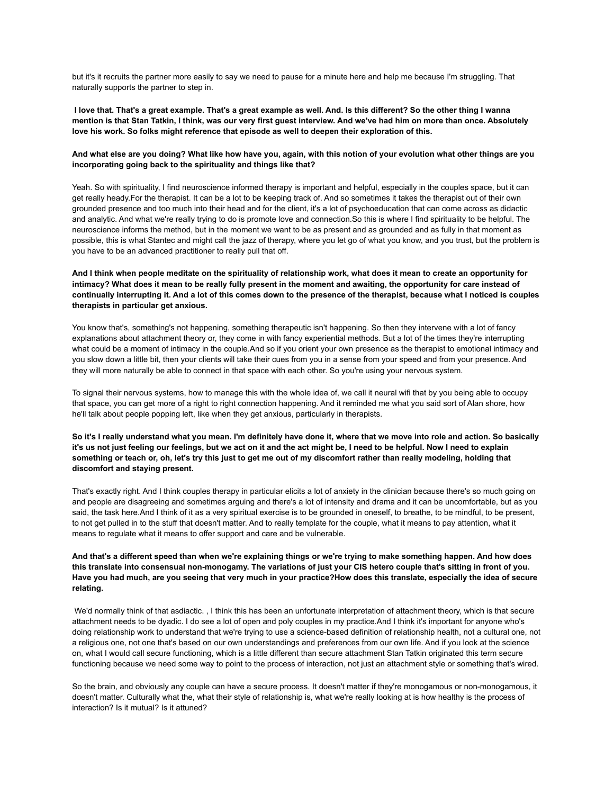but it's it recruits the partner more easily to say we need to pause for a minute here and help me because I'm struggling. That naturally supports the partner to step in.

I love that. That's a great example. That's a great example as well. And. Is this different? So the other thing I wanna mention is that Stan Tatkin, I think, was our very first guest interview. And we've had him on more than once. Absolutely **love his work. So folks might reference that episode as well to deepen their exploration of this.**

## And what else are you doing? What like how have you, again, with this notion of your evolution what other things are you **incorporating going back to the spirituality and things like that?**

Yeah. So with spirituality, I find neuroscience informed therapy is important and helpful, especially in the couples space, but it can get really heady.For the therapist. It can be a lot to be keeping track of. And so sometimes it takes the therapist out of their own grounded presence and too much into their head and for the client, it's a lot of psychoeducation that can come across as didactic and analytic. And what we're really trying to do is promote love and connection.So this is where I find spirituality to be helpful. The neuroscience informs the method, but in the moment we want to be as present and as grounded and as fully in that moment as possible, this is what Stantec and might call the jazz of therapy, where you let go of what you know, and you trust, but the problem is you have to be an advanced practitioner to really pull that off.

## And I think when people meditate on the spirituality of relationship work, what does it mean to create an opportunity for intimacy? What does it mean to be really fully present in the moment and awaiting, the opportunity for care instead of continually interrupting it. And a lot of this comes down to the presence of the therapist, because what I noticed is couples **therapists in particular get anxious.**

You know that's, something's not happening, something therapeutic isn't happening. So then they intervene with a lot of fancy explanations about attachment theory or, they come in with fancy experiential methods. But a lot of the times they're interrupting what could be a moment of intimacy in the couple.And so if you orient your own presence as the therapist to emotional intimacy and you slow down a little bit, then your clients will take their cues from you in a sense from your speed and from your presence. And they will more naturally be able to connect in that space with each other. So you're using your nervous system.

To signal their nervous systems, how to manage this with the whole idea of, we call it neural wifi that by you being able to occupy that space, you can get more of a right to right connection happening. And it reminded me what you said sort of Alan shore, how he'll talk about people popping left, like when they get anxious, particularly in therapists.

## So it's I really understand what you mean. I'm definitely have done it, where that we move into role and action. So basically it's us not just feeling our feelings, but we act on it and the act might be, I need to be helpful. Now I need to explain something or teach or, oh, let's try this just to get me out of my discomfort rather than really modeling, holding that **discomfort and staying present.**

That's exactly right. And I think couples therapy in particular elicits a lot of anxiety in the clinician because there's so much going on and people are disagreeing and sometimes arguing and there's a lot of intensity and drama and it can be uncomfortable, but as you said, the task here.And I think of it as a very spiritual exercise is to be grounded in oneself, to breathe, to be mindful, to be present, to not get pulled in to the stuff that doesn't matter. And to really template for the couple, what it means to pay attention, what it means to regulate what it means to offer support and care and be vulnerable.

## And that's a different speed than when we're explaining things or we're trying to make something happen. And how does this translate into consensual non-monogamy. The variations of just your CIS hetero couple that's sitting in front of you. Have you had much, are you seeing that very much in your practice?How does this translate, especially the idea of secure **relating.**

We'd normally think of that asdiactic. , I think this has been an unfortunate interpretation of attachment theory, which is that secure attachment needs to be dyadic. I do see a lot of open and poly couples in my practice.And I think it's important for anyone who's doing relationship work to understand that we're trying to use a science-based definition of relationship health, not a cultural one, not a religious one, not one that's based on our own understandings and preferences from our own life. And if you look at the science on, what I would call secure functioning, which is a little different than secure attachment Stan Tatkin originated this term secure functioning because we need some way to point to the process of interaction, not just an attachment style or something that's wired.

So the brain, and obviously any couple can have a secure process. It doesn't matter if they're monogamous or non-monogamous, it doesn't matter. Culturally what the, what their style of relationship is, what we're really looking at is how healthy is the process of interaction? Is it mutual? Is it attuned?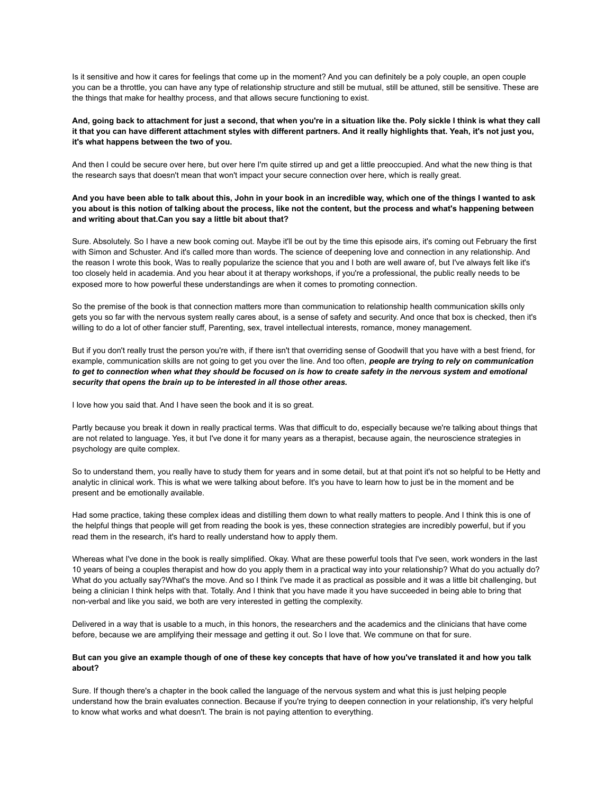Is it sensitive and how it cares for feelings that come up in the moment? And you can definitely be a poly couple, an open couple you can be a throttle, you can have any type of relationship structure and still be mutual, still be attuned, still be sensitive. These are the things that make for healthy process, and that allows secure functioning to exist.

## And, going back to attachment for just a second, that when you're in a situation like the. Poly sickle I think is what they call it that you can have different attachment styles with different partners. And it really highlights that. Yeah, it's not just you, **it's what happens between the two of you.**

And then I could be secure over here, but over here I'm quite stirred up and get a little preoccupied. And what the new thing is that the research says that doesn't mean that won't impact your secure connection over here, which is really great.

## And you have been able to talk about this, John in your book in an incredible way, which one of the things I wanted to ask you about is this notion of talking about the process, like not the content, but the process and what's happening between **and writing about that.Can you say a little bit about that?**

Sure. Absolutely. So I have a new book coming out. Maybe it'll be out by the time this episode airs, it's coming out February the first with Simon and Schuster. And it's called more than words. The science of deepening love and connection in any relationship. And the reason I wrote this book, Was to really popularize the science that you and I both are well aware of, but I've always felt like it's too closely held in academia. And you hear about it at therapy workshops, if you're a professional, the public really needs to be exposed more to how powerful these understandings are when it comes to promoting connection.

So the premise of the book is that connection matters more than communication to relationship health communication skills only gets you so far with the nervous system really cares about, is a sense of safety and security. And once that box is checked, then it's willing to do a lot of other fancier stuff, Parenting, sex, travel intellectual interests, romance, money management.

But if you don't really trust the person you're with, if there isn't that overriding sense of Goodwill that you have with a best friend, for example, communication skills are not going to get you over the line. And too often, *people are trying to rely on communication* to get to connection when what they should be focused on is how to create safety in the nervous system and emotional *security that opens the brain up to be interested in all those other areas.*

I love how you said that. And I have seen the book and it is so great.

Partly because you break it down in really practical terms. Was that difficult to do, especially because we're talking about things that are not related to language. Yes, it but I've done it for many years as a therapist, because again, the neuroscience strategies in psychology are quite complex.

So to understand them, you really have to study them for years and in some detail, but at that point it's not so helpful to be Hetty and analytic in clinical work. This is what we were talking about before. It's you have to learn how to just be in the moment and be present and be emotionally available.

Had some practice, taking these complex ideas and distilling them down to what really matters to people. And I think this is one of the helpful things that people will get from reading the book is yes, these connection strategies are incredibly powerful, but if you read them in the research, it's hard to really understand how to apply them.

Whereas what I've done in the book is really simplified. Okay. What are these powerful tools that I've seen, work wonders in the last 10 years of being a couples therapist and how do you apply them in a practical way into your relationship? What do you actually do? What do you actually say?What's the move. And so I think I've made it as practical as possible and it was a little bit challenging, but being a clinician I think helps with that. Totally. And I think that you have made it you have succeeded in being able to bring that non-verbal and like you said, we both are very interested in getting the complexity.

Delivered in a way that is usable to a much, in this honors, the researchers and the academics and the clinicians that have come before, because we are amplifying their message and getting it out. So I love that. We commune on that for sure.

# But can you give an example though of one of these key concepts that have of how you've translated it and how you talk **about?**

Sure. If though there's a chapter in the book called the language of the nervous system and what this is just helping people understand how the brain evaluates connection. Because if you're trying to deepen connection in your relationship, it's very helpful to know what works and what doesn't. The brain is not paying attention to everything.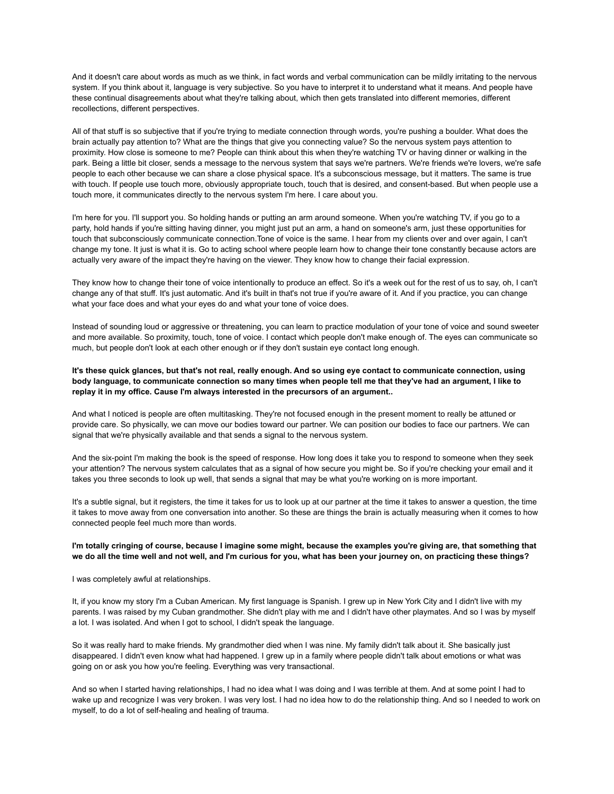And it doesn't care about words as much as we think, in fact words and verbal communication can be mildly irritating to the nervous system. If you think about it, language is very subjective. So you have to interpret it to understand what it means. And people have these continual disagreements about what they're talking about, which then gets translated into different memories, different recollections, different perspectives.

All of that stuff is so subjective that if you're trying to mediate connection through words, you're pushing a boulder. What does the brain actually pay attention to? What are the things that give you connecting value? So the nervous system pays attention to proximity. How close is someone to me? People can think about this when they're watching TV or having dinner or walking in the park. Being a little bit closer, sends a message to the nervous system that says we're partners. We're friends we're lovers, we're safe people to each other because we can share a close physical space. It's a subconscious message, but it matters. The same is true with touch. If people use touch more, obviously appropriate touch, touch that is desired, and consent-based. But when people use a touch more, it communicates directly to the nervous system I'm here. I care about you.

I'm here for you. I'll support you. So holding hands or putting an arm around someone. When you're watching TV, if you go to a party, hold hands if you're sitting having dinner, you might just put an arm, a hand on someone's arm, just these opportunities for touch that subconsciously communicate connection.Tone of voice is the same. I hear from my clients over and over again, I can't change my tone. It just is what it is. Go to acting school where people learn how to change their tone constantly because actors are actually very aware of the impact they're having on the viewer. They know how to change their facial expression.

They know how to change their tone of voice intentionally to produce an effect. So it's a week out for the rest of us to say, oh, I can't change any of that stuff. It's just automatic. And it's built in that's not true if you're aware of it. And if you practice, you can change what your face does and what your eyes do and what your tone of voice does.

Instead of sounding loud or aggressive or threatening, you can learn to practice modulation of your tone of voice and sound sweeter and more available. So proximity, touch, tone of voice. I contact which people don't make enough of. The eyes can communicate so much, but people don't look at each other enough or if they don't sustain eye contact long enough.

It's these quick glances, but that's not real, really enough. And so using eye contact to communicate connection, using body language, to communicate connection so many times when people tell me that they've had an argument, I like to **replay it in my office. Cause I'm always interested in the precursors of an argument..**

And what I noticed is people are often multitasking. They're not focused enough in the present moment to really be attuned or provide care. So physically, we can move our bodies toward our partner. We can position our bodies to face our partners. We can signal that we're physically available and that sends a signal to the nervous system.

And the six-point I'm making the book is the speed of response. How long does it take you to respond to someone when they seek your attention? The nervous system calculates that as a signal of how secure you might be. So if you're checking your email and it takes you three seconds to look up well, that sends a signal that may be what you're working on is more important.

It's a subtle signal, but it registers, the time it takes for us to look up at our partner at the time it takes to answer a question, the time it takes to move away from one conversation into another. So these are things the brain is actually measuring when it comes to how connected people feel much more than words.

## I'm totally cringing of course, because I imagine some might, because the examples you're giving are, that something that we do all the time well and not well, and I'm curious for you, what has been your journey on, on practicing these things?

I was completely awful at relationships.

It, if you know my story I'm a Cuban American. My first language is Spanish. I grew up in New York City and I didn't live with my parents. I was raised by my Cuban grandmother. She didn't play with me and I didn't have other playmates. And so I was by myself a lot. I was isolated. And when I got to school, I didn't speak the language.

So it was really hard to make friends. My grandmother died when I was nine. My family didn't talk about it. She basically just disappeared. I didn't even know what had happened. I grew up in a family where people didn't talk about emotions or what was going on or ask you how you're feeling. Everything was very transactional.

And so when I started having relationships, I had no idea what I was doing and I was terrible at them. And at some point I had to wake up and recognize I was very broken. I was very lost. I had no idea how to do the relationship thing. And so I needed to work on myself, to do a lot of self-healing and healing of trauma.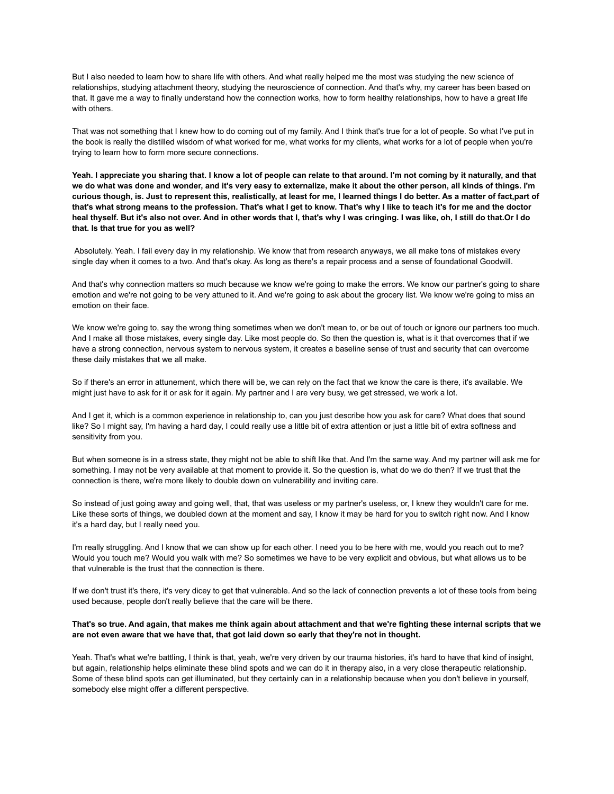But I also needed to learn how to share life with others. And what really helped me the most was studying the new science of relationships, studying attachment theory, studying the neuroscience of connection. And that's why, my career has been based on that. It gave me a way to finally understand how the connection works, how to form healthy relationships, how to have a great life with others.

That was not something that I knew how to do coming out of my family. And I think that's true for a lot of people. So what I've put in the book is really the distilled wisdom of what worked for me, what works for my clients, what works for a lot of people when you're trying to learn how to form more secure connections.

Yeah. I appreciate you sharing that. I know a lot of people can relate to that around. I'm not coming by it naturally, and that we do what was done and wonder, and it's very easy to externalize, make it about the other person, all kinds of things. I'm curious though, is. Just to represent this, realistically, at least for me, I learned things I do better. As a matter of fact,part of that's what strong means to the profession. That's what I get to know. That's why I like to teach it's for me and the doctor heal thyself. But it's also not over. And in other words that I, that's why I was cringing. I was like, oh, I still do that.Or I do **that. Is that true for you as well?**

Absolutely. Yeah. I fail every day in my relationship. We know that from research anyways, we all make tons of mistakes every single day when it comes to a two. And that's okay. As long as there's a repair process and a sense of foundational Goodwill.

And that's why connection matters so much because we know we're going to make the errors. We know our partner's going to share emotion and we're not going to be very attuned to it. And we're going to ask about the grocery list. We know we're going to miss an emotion on their face.

We know we're going to, say the wrong thing sometimes when we don't mean to, or be out of touch or ignore our partners too much. And I make all those mistakes, every single day. Like most people do. So then the question is, what is it that overcomes that if we have a strong connection, nervous system to nervous system, it creates a baseline sense of trust and security that can overcome these daily mistakes that we all make.

So if there's an error in attunement, which there will be, we can rely on the fact that we know the care is there, it's available. We might just have to ask for it or ask for it again. My partner and I are very busy, we get stressed, we work a lot.

And I get it, which is a common experience in relationship to, can you just describe how you ask for care? What does that sound like? So I might say, I'm having a hard day, I could really use a little bit of extra attention or just a little bit of extra softness and sensitivity from you.

But when someone is in a stress state, they might not be able to shift like that. And I'm the same way. And my partner will ask me for something. I may not be very available at that moment to provide it. So the question is, what do we do then? If we trust that the connection is there, we're more likely to double down on vulnerability and inviting care.

So instead of just going away and going well, that, that was useless or my partner's useless, or, I knew they wouldn't care for me. Like these sorts of things, we doubled down at the moment and say, I know it may be hard for you to switch right now. And I know it's a hard day, but I really need you.

I'm really struggling. And I know that we can show up for each other. I need you to be here with me, would you reach out to me? Would you touch me? Would you walk with me? So sometimes we have to be very explicit and obvious, but what allows us to be that vulnerable is the trust that the connection is there.

If we don't trust it's there, it's very dicey to get that vulnerable. And so the lack of connection prevents a lot of these tools from being used because, people don't really believe that the care will be there.

## That's so true. And again, that makes me think again about attachment and that we're fighting these internal scripts that we are not even aware that we have that, that got laid down so early that they're not in thought.

Yeah. That's what we're battling, I think is that, yeah, we're very driven by our trauma histories, it's hard to have that kind of insight, but again, relationship helps eliminate these blind spots and we can do it in therapy also, in a very close therapeutic relationship. Some of these blind spots can get illuminated, but they certainly can in a relationship because when you don't believe in yourself, somebody else might offer a different perspective.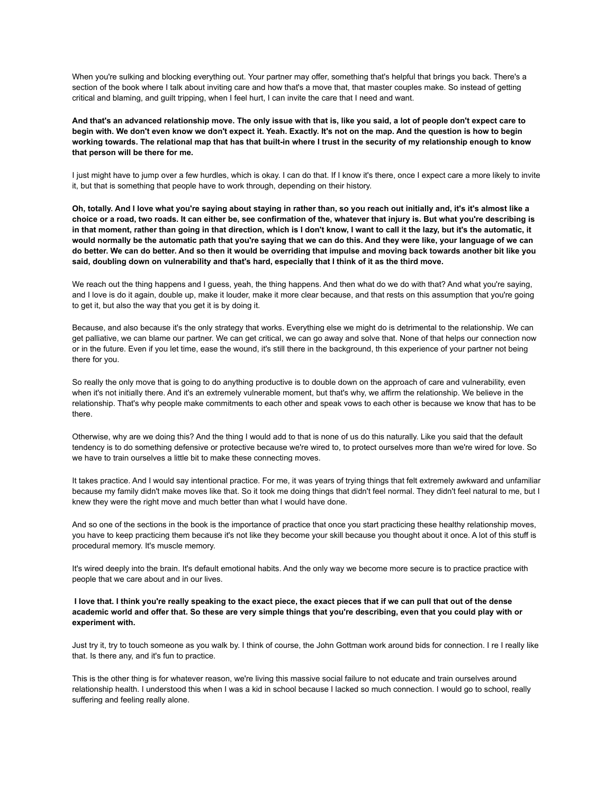When you're sulking and blocking everything out. Your partner may offer, something that's helpful that brings you back. There's a section of the book where I talk about inviting care and how that's a move that, that master couples make. So instead of getting critical and blaming, and guilt tripping, when I feel hurt, I can invite the care that I need and want.

And that's an advanced relationship move. The only issue with that is, like you said, a lot of people don't expect care to begin with. We don't even know we don't expect it. Yeah. Exactly. It's not on the map. And the question is how to begin working towards. The relational map that has that built-in where I trust in the security of my relationship enough to know **that person will be there for me.**

I just might have to jump over a few hurdles, which is okay. I can do that. If I know it's there, once I expect care a more likely to invite it, but that is something that people have to work through, depending on their history.

Oh, totally. And I love what you're saying about staying in rather than, so you reach out initially and, it's it's almost like a choice or a road, two roads. It can either be, see confirmation of the, whatever that injury is. But what you're describing is in that moment, rather than going in that direction, which is I don't know, I want to call it the lazy, but it's the automatic, it would normally be the automatic path that you're saying that we can do this. And they were like, your language of we can do better. We can do better. And so then it would be overriding that impulse and moving back towards another bit like you said, doubling down on vulnerability and that's hard, especially that I think of it as the third move.

We reach out the thing happens and I guess, yeah, the thing happens. And then what do we do with that? And what you're saying, and I love is do it again, double up, make it louder, make it more clear because, and that rests on this assumption that you're going to get it, but also the way that you get it is by doing it.

Because, and also because it's the only strategy that works. Everything else we might do is detrimental to the relationship. We can get palliative, we can blame our partner. We can get critical, we can go away and solve that. None of that helps our connection now or in the future. Even if you let time, ease the wound, it's still there in the background, th this experience of your partner not being there for you.

So really the only move that is going to do anything productive is to double down on the approach of care and vulnerability, even when it's not initially there. And it's an extremely vulnerable moment, but that's why, we affirm the relationship. We believe in the relationship. That's why people make commitments to each other and speak vows to each other is because we know that has to be there.

Otherwise, why are we doing this? And the thing I would add to that is none of us do this naturally. Like you said that the default tendency is to do something defensive or protective because we're wired to, to protect ourselves more than we're wired for love. So we have to train ourselves a little bit to make these connecting moves.

It takes practice. And I would say intentional practice. For me, it was years of trying things that felt extremely awkward and unfamiliar because my family didn't make moves like that. So it took me doing things that didn't feel normal. They didn't feel natural to me, but I knew they were the right move and much better than what I would have done.

And so one of the sections in the book is the importance of practice that once you start practicing these healthy relationship moves, you have to keep practicing them because it's not like they become your skill because you thought about it once. A lot of this stuff is procedural memory. It's muscle memory.

It's wired deeply into the brain. It's default emotional habits. And the only way we become more secure is to practice practice with people that we care about and in our lives.

## I love that. I think you're really speaking to the exact piece, the exact pieces that if we can pull that out of the dense academic world and offer that. So these are very simple things that you're describing, even that you could play with or **experiment with.**

Just try it, try to touch someone as you walk by. I think of course, the John Gottman work around bids for connection. I re I really like that. Is there any, and it's fun to practice.

This is the other thing is for whatever reason, we're living this massive social failure to not educate and train ourselves around relationship health. I understood this when I was a kid in school because I lacked so much connection. I would go to school, really suffering and feeling really alone.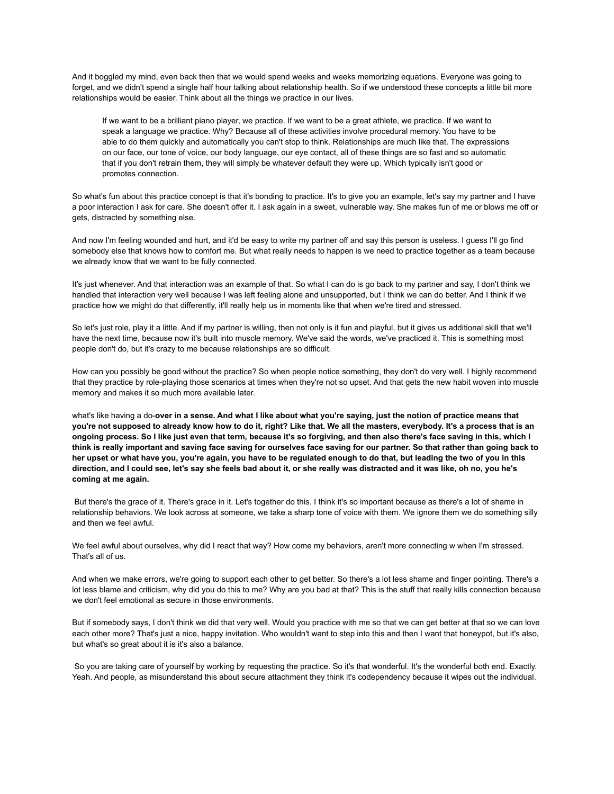And it boggled my mind, even back then that we would spend weeks and weeks memorizing equations. Everyone was going to forget, and we didn't spend a single half hour talking about relationship health. So if we understood these concepts a little bit more relationships would be easier. Think about all the things we practice in our lives.

If we want to be a brilliant piano player, we practice. If we want to be a great athlete, we practice. If we want to speak a language we practice. Why? Because all of these activities involve procedural memory. You have to be able to do them quickly and automatically you can't stop to think. Relationships are much like that. The expressions on our face, our tone of voice, our body language, our eye contact, all of these things are so fast and so automatic that if you don't retrain them, they will simply be whatever default they were up. Which typically isn't good or promotes connection.

So what's fun about this practice concept is that it's bonding to practice. It's to give you an example, let's say my partner and I have a poor interaction I ask for care. She doesn't offer it. I ask again in a sweet, vulnerable way. She makes fun of me or blows me off or gets, distracted by something else.

And now I'm feeling wounded and hurt, and it'd be easy to write my partner off and say this person is useless. I guess I'll go find somebody else that knows how to comfort me. But what really needs to happen is we need to practice together as a team because we already know that we want to be fully connected.

It's just whenever. And that interaction was an example of that. So what I can do is go back to my partner and say, I don't think we handled that interaction very well because I was left feeling alone and unsupported, but I think we can do better. And I think if we practice how we might do that differently, it'll really help us in moments like that when we're tired and stressed.

So let's just role, play it a little. And if my partner is willing, then not only is it fun and playful, but it gives us additional skill that we'll have the next time, because now it's built into muscle memory. We've said the words, we've practiced it. This is something most people don't do, but it's crazy to me because relationships are so difficult.

How can you possibly be good without the practice? So when people notice something, they don't do very well. I highly recommend that they practice by role-playing those scenarios at times when they're not so upset. And that gets the new habit woven into muscle memory and makes it so much more available later.

what's like having a do-over in a sense. And what I like about what you're saying, just the notion of practice means that you're not supposed to already know how to do it, right? Like that. We all the masters, everybody. It's a process that is an ongoing process. So I like just even that term, because it's so forgiving, and then also there's face saving in this, which I think is really important and saving face saving for ourselves face saving for our partner. So that rather than going back to her upset or what have you, you're again, you have to be regulated enough to do that, but leading the two of you in this direction, and I could see, let's say she feels bad about it, or she really was distracted and it was like, oh no, you he's **coming at me again.**

But there's the grace of it. There's grace in it. Let's together do this. I think it's so important because as there's a lot of shame in relationship behaviors. We look across at someone, we take a sharp tone of voice with them. We ignore them we do something silly and then we feel awful.

We feel awful about ourselves, why did I react that way? How come my behaviors, aren't more connecting w when I'm stressed. That's all of us.

And when we make errors, we're going to support each other to get better. So there's a lot less shame and finger pointing. There's a lot less blame and criticism, why did you do this to me? Why are you bad at that? This is the stuff that really kills connection because we don't feel emotional as secure in those environments.

But if somebody says, I don't think we did that very well. Would you practice with me so that we can get better at that so we can love each other more? That's just a nice, happy invitation. Who wouldn't want to step into this and then I want that honeypot, but it's also, but what's so great about it is it's also a balance.

So you are taking care of yourself by working by requesting the practice. So it's that wonderful. It's the wonderful both end. Exactly. Yeah. And people, as misunderstand this about secure attachment they think it's codependency because it wipes out the individual.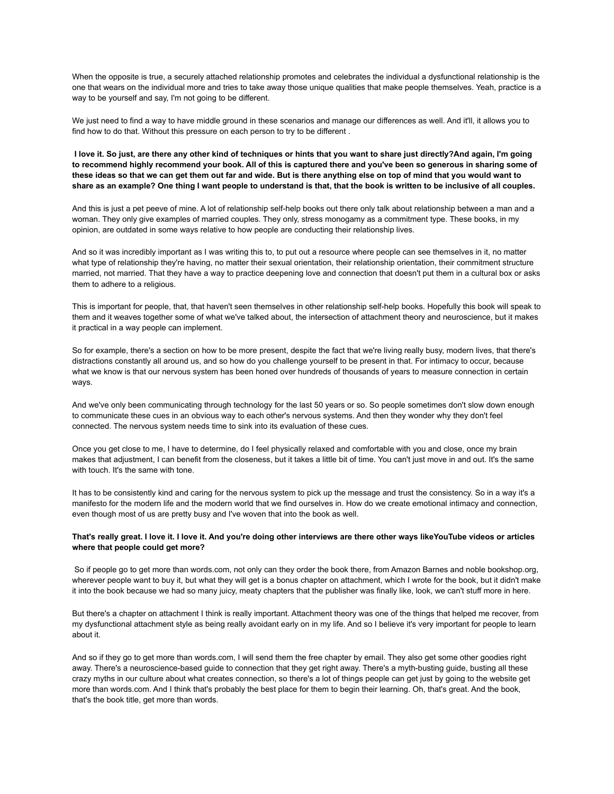When the opposite is true, a securely attached relationship promotes and celebrates the individual a dysfunctional relationship is the one that wears on the individual more and tries to take away those unique qualities that make people themselves. Yeah, practice is a way to be yourself and say, I'm not going to be different.

We just need to find a way to have middle ground in these scenarios and manage our differences as well. And it'll, it allows you to find how to do that. Without this pressure on each person to try to be different .

I love it. So just, are there any other kind of techniques or hints that you want to share just directly?And again, I'm going to recommend highly recommend your book. All of this is captured there and you've been so generous in sharing some of these ideas so that we can get them out far and wide. But is there anything else on top of mind that you would want to share as an example? One thing I want people to understand is that, that the book is written to be inclusive of all couples.

And this is just a pet peeve of mine. A lot of relationship self-help books out there only talk about relationship between a man and a woman. They only give examples of married couples. They only, stress monogamy as a commitment type. These books, in my opinion, are outdated in some ways relative to how people are conducting their relationship lives.

And so it was incredibly important as I was writing this to, to put out a resource where people can see themselves in it, no matter what type of relationship they're having, no matter their sexual orientation, their relationship orientation, their commitment structure married, not married. That they have a way to practice deepening love and connection that doesn't put them in a cultural box or asks them to adhere to a religious.

This is important for people, that, that haven't seen themselves in other relationship self-help books. Hopefully this book will speak to them and it weaves together some of what we've talked about, the intersection of attachment theory and neuroscience, but it makes it practical in a way people can implement.

So for example, there's a section on how to be more present, despite the fact that we're living really busy, modern lives, that there's distractions constantly all around us, and so how do you challenge yourself to be present in that. For intimacy to occur, because what we know is that our nervous system has been honed over hundreds of thousands of years to measure connection in certain ways.

And we've only been communicating through technology for the last 50 years or so. So people sometimes don't slow down enough to communicate these cues in an obvious way to each other's nervous systems. And then they wonder why they don't feel connected. The nervous system needs time to sink into its evaluation of these cues.

Once you get close to me, I have to determine, do I feel physically relaxed and comfortable with you and close, once my brain makes that adjustment, I can benefit from the closeness, but it takes a little bit of time. You can't just move in and out. It's the same with touch. It's the same with tone.

It has to be consistently kind and caring for the nervous system to pick up the message and trust the consistency. So in a way it's a manifesto for the modern life and the modern world that we find ourselves in. How do we create emotional intimacy and connection, even though most of us are pretty busy and I've woven that into the book as well.

## That's really great. I love it. I love it. And you're doing other interviews are there other ways likeYouTube videos or articles **where that people could get more?**

So if people go to get more than words.com, not only can they order the book there, from Amazon Barnes and noble bookshop.org, wherever people want to buy it, but what they will get is a bonus chapter on attachment, which I wrote for the book, but it didn't make it into the book because we had so many juicy, meaty chapters that the publisher was finally like, look, we can't stuff more in here.

But there's a chapter on attachment I think is really important. Attachment theory was one of the things that helped me recover, from my dysfunctional attachment style as being really avoidant early on in my life. And so I believe it's very important for people to learn about it.

And so if they go to get more than words.com, I will send them the free chapter by email. They also get some other goodies right away. There's a neuroscience-based guide to connection that they get right away. There's a myth-busting guide, busting all these crazy myths in our culture about what creates connection, so there's a lot of things people can get just by going to the website get more than words.com. And I think that's probably the best place for them to begin their learning. Oh, that's great. And the book, that's the book title, get more than words.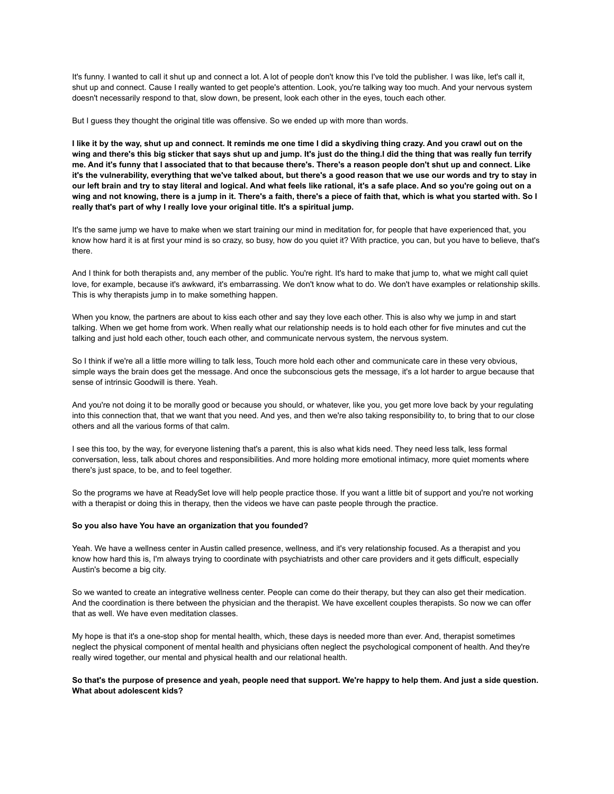It's funny. I wanted to call it shut up and connect a lot. A lot of people don't know this I've told the publisher. I was like, let's call it, shut up and connect. Cause I really wanted to get people's attention. Look, you're talking way too much. And your nervous system doesn't necessarily respond to that, slow down, be present, look each other in the eyes, touch each other.

But I guess they thought the original title was offensive. So we ended up with more than words.

I like it by the way, shut up and connect. It reminds me one time I did a skydiving thing crazy. And you crawl out on the wing and there's this big sticker that says shut up and jump. It's just do the thing.I did the thing that was really fun terrify me. And it's funny that I associated that to that because there's. There's a reason people don't shut up and connect. Like it's the vulnerability, everything that we've talked about, but there's a good reason that we use our words and try to stay in our left brain and try to stay literal and logical. And what feels like rational, it's a safe place. And so you're going out on a wing and not knowing, there is a jump in it. There's a faith, there's a piece of faith that, which is what you started with. So I **really that's part of why I really love your original title. It's a spiritual jump.**

It's the same jump we have to make when we start training our mind in meditation for, for people that have experienced that, you know how hard it is at first your mind is so crazy, so busy, how do you quiet it? With practice, you can, but you have to believe, that's there.

And I think for both therapists and, any member of the public. You're right. It's hard to make that jump to, what we might call quiet love, for example, because it's awkward, it's embarrassing. We don't know what to do. We don't have examples or relationship skills. This is why therapists jump in to make something happen.

When you know, the partners are about to kiss each other and say they love each other. This is also why we jump in and start talking. When we get home from work. When really what our relationship needs is to hold each other for five minutes and cut the talking and just hold each other, touch each other, and communicate nervous system, the nervous system.

So I think if we're all a little more willing to talk less, Touch more hold each other and communicate care in these very obvious, simple ways the brain does get the message. And once the subconscious gets the message, it's a lot harder to argue because that sense of intrinsic Goodwill is there. Yeah.

And you're not doing it to be morally good or because you should, or whatever, like you, you get more love back by your regulating into this connection that, that we want that you need. And yes, and then we're also taking responsibility to, to bring that to our close others and all the various forms of that calm.

I see this too, by the way, for everyone listening that's a parent, this is also what kids need. They need less talk, less formal conversation, less, talk about chores and responsibilities. And more holding more emotional intimacy, more quiet moments where there's just space, to be, and to feel together.

So the programs we have at ReadySet love will help people practice those. If you want a little bit of support and you're not working with a therapist or doing this in therapy, then the videos we have can paste people through the practice.

#### **So you also have You have an organization that you founded?**

Yeah. We have a wellness center in Austin called presence, wellness, and it's very relationship focused. As a therapist and you know how hard this is, I'm always trying to coordinate with psychiatrists and other care providers and it gets difficult, especially Austin's become a big city.

So we wanted to create an integrative wellness center. People can come do their therapy, but they can also get their medication. And the coordination is there between the physician and the therapist. We have excellent couples therapists. So now we can offer that as well. We have even meditation classes.

My hope is that it's a one-stop shop for mental health, which, these days is needed more than ever. And, therapist sometimes neglect the physical component of mental health and physicians often neglect the psychological component of health. And they're really wired together, our mental and physical health and our relational health.

## So that's the purpose of presence and yeah, people need that support. We're happy to help them. And just a side question. **What about adolescent kids?**